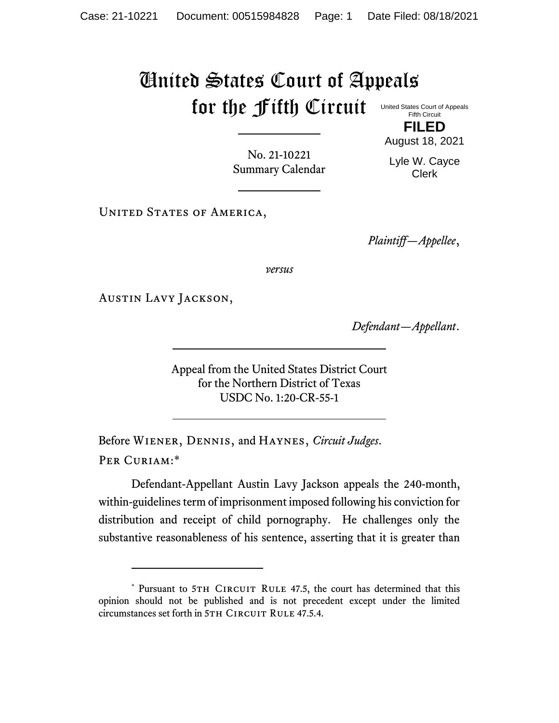## United States Court of Appeals for the Fifth Circuit

United States Court of Appeals Fifth Circuit

**FILED** August 18, 2021

No. 21-10221 Summary Calendar Lyle W. Cayce Clerk

UNITED STATES OF AMERICA,

*Plaintiff—Appellee*,

*versus*

Austin Lavy Jackson,

*Defendant—Appellant*.

Appeal from the United States District Court for the Northern District of Texas USDC No. 1:20-CR-55-1

Before Wiener, Dennis, and Haynes, *Circuit Judges*. Per Curiam:\*

Defendant-Appellant Austin Lavy Jackson appeals the 240-month, within-guidelines term of imprisonment imposed following his conviction for distribution and receipt of child pornography. He challenges only the substantive reasonableness of his sentence, asserting that it is greater than

<sup>\*</sup> Pursuant to 5TH CIRCUIT RULE 47.5, the court has determined that this opinion should not be published and is not precedent except under the limited circumstances set forth in 5TH CIRCUIT RULE 47.5.4.